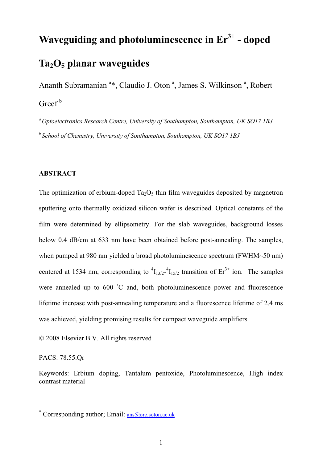# **Waveguiding and photoluminescence in Er3+ - doped Ta2O5 planar waveguides**

Ananth Subramanian<sup>a\*</sup>, Claudio J. Oton<sup>a</sup>, James S. Wilkinson<sup>a</sup>, Robert  $Greef<sup>b</sup>$ 

*<sup>a</sup> Optoelectronics Research Centre, University of Southampton, Southampton, UK SO17 1BJ <sup>b</sup> School of Chemistry, University of Southampton, Southampton, UK SO17 1BJ*

## **ABSTRACT**

The optimization of erbium-doped  $Ta_2O_5$  thin film waveguides deposited by magnetron sputtering onto thermally oxidized silicon wafer is described. Optical constants of the film were determined by ellipsometry. For the slab waveguides, background losses below 0.4 dB/cm at 633 nm have been obtained before post-annealing. The samples, when pumped at 980 nm yielded a broad photoluminescence spectrum (FWHM~50 nm) centered at 1534 nm, corresponding to  ${}^{4}I_{13/2}$ - ${}^{4}I_{15/2}$  transition of  $Er^{3+}$  ion. The samples were annealed up to 600 °C and, both photoluminescence power and fluorescence lifetime increase with post-annealing temperature and a fluorescence lifetime of 2.4 ms was achieved, yielding promising results for compact waveguide amplifiers.

© 2008 Elsevier B.V. All rights reserved

PACS: 78.55.Qr

 $\overline{\phantom{a}}$ 

Keywords: Erbium doping, Tantalum pentoxide, Photoluminescence, High index contrast material

<sup>\*</sup> Corresponding author; Email: ans@orc.soton.ac.uk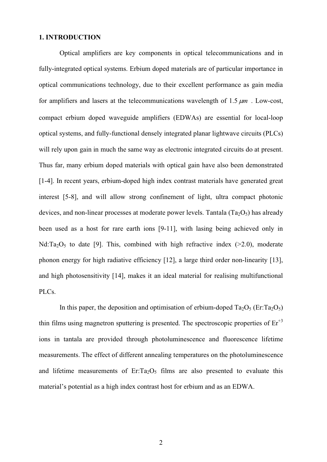## **1. INTRODUCTION**

Optical amplifiers are key components in optical telecommunications and in fully-integrated optical systems. Erbium doped materials are of particular importance in optical communications technology, due to their excellent performance as gain media for amplifiers and lasers at the telecommunications wavelength of  $1.5 \mu m$ . Low-cost, compact erbium doped waveguide amplifiers (EDWAs) are essential for local-loop optical systems, and fully-functional densely integrated planar lightwave circuits (PLCs) will rely upon gain in much the same way as electronic integrated circuits do at present. Thus far, many erbium doped materials with optical gain have also been demonstrated [1-4]. In recent years, erbium-doped high index contrast materials have generated great interest [5-8], and will allow strong confinement of light, ultra compact photonic devices, and non-linear processes at moderate power levels. Tantala  $(Ta<sub>2</sub>O<sub>5</sub>)$  has already been used as a host for rare earth ions [9-11], with lasing being achieved only in Nd:Ta<sub>2</sub>O<sub>5</sub> to date [9]. This, combined with high refractive index ( $>2.0$ ), moderate phonon energy for high radiative efficiency [12], a large third order non-linearity [13], and high photosensitivity [14], makes it an ideal material for realising multifunctional PLCs.

In this paper, the deposition and optimisation of erbium-doped  $Ta_2O_5$  (Er:Ta<sub>2</sub>O<sub>5</sub>) thin films using magnetron sputtering is presented. The spectroscopic properties of  $Er<sup>+3</sup>$ ions in tantala are provided through photoluminescence and fluorescence lifetime measurements. The effect of different annealing temperatures on the photoluminescence and lifetime measurements of Er:Ta<sub>2</sub>O<sub>5</sub> films are also presented to evaluate this material's potential as a high index contrast host for erbium and as an EDWA.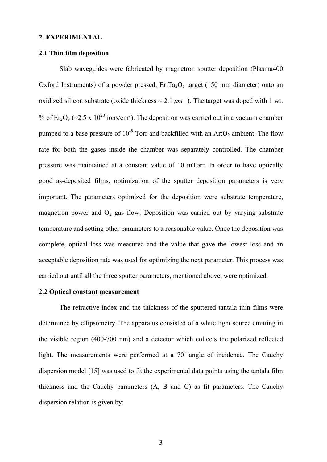#### **2. EXPERIMENTAL**

#### **2.1 Thin film deposition**

Slab waveguides were fabricated by magnetron sputter deposition (Plasma400 Oxford Instruments) of a powder pressed,  $Er:Ta<sub>2</sub>O<sub>5</sub>$  target (150 mm diameter) onto an oxidized silicon substrate (oxide thickness  $\sim 2.1 \ \mu m$ ). The target was doped with 1 wt. % of  $\text{Er}_2\text{O}_3$  (~2.5 x 10<sup>20</sup> ions/cm<sup>3</sup>). The deposition was carried out in a vacuum chamber pumped to a base pressure of  $10^{-8}$  Torr and backfilled with an Ar: $O_2$  ambient. The flow rate for both the gases inside the chamber was separately controlled. The chamber pressure was maintained at a constant value of 10 mTorr. In order to have optically good as-deposited films, optimization of the sputter deposition parameters is very important. The parameters optimized for the deposition were substrate temperature, magnetron power and  $O_2$  gas flow. Deposition was carried out by varying substrate temperature and setting other parameters to a reasonable value. Once the deposition was complete, optical loss was measured and the value that gave the lowest loss and an acceptable deposition rate was used for optimizing the next parameter. This process was carried out until all the three sputter parameters, mentioned above, were optimized.

## **2.2 Optical constant measurement**

The refractive index and the thickness of the sputtered tantala thin films were determined by ellipsometry. The apparatus consisted of a white light source emitting in the visible region (400-700 nm) and a detector which collects the polarized reflected light. The measurements were performed at a 70° angle of incidence. The Cauchy dispersion model [15] was used to fit the experimental data points using the tantala film thickness and the Cauchy parameters (A, B and C) as fit parameters. The Cauchy dispersion relation is given by: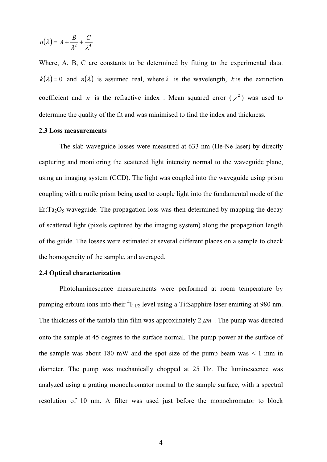$$
n(\lambda) = A + \frac{B}{\lambda^2} + \frac{C}{\lambda^4}
$$

Where, A, B, C are constants to be determined by fitting to the experimental data.  $k(\lambda) = 0$  and  $n(\lambda)$  is assumed real, where  $\lambda$  is the wavelength, *k* is the extinction coefficient and *n* is the refractive index . Mean squared error  $(\chi^2)$  was used to determine the quality of the fit and was minimised to find the index and thickness.

## **2.3 Loss measurements**

The slab waveguide losses were measured at 633 nm (He-Ne laser) by directly capturing and monitoring the scattered light intensity normal to the waveguide plane, using an imaging system (CCD). The light was coupled into the waveguide using prism coupling with a rutile prism being used to couple light into the fundamental mode of the Er:Ta<sub>2</sub>O<sub>5</sub> waveguide. The propagation loss was then determined by mapping the decay of scattered light (pixels captured by the imaging system) along the propagation length of the guide. The losses were estimated at several different places on a sample to check the homogeneity of the sample, and averaged.

## **2.4 Optical characterization**

Photoluminescence measurements were performed at room temperature by pumping erbium ions into their  ${}^{4}I_{11/2}$  level using a Ti:Sapphire laser emitting at 980 nm. The thickness of the tantala thin film was approximately  $2 \mu m$ . The pump was directed onto the sample at 45 degrees to the surface normal. The pump power at the surface of the sample was about 180 mW and the spot size of the pump beam was  $\leq 1$  mm in diameter. The pump was mechanically chopped at 25 Hz. The luminescence was analyzed using a grating monochromator normal to the sample surface, with a spectral resolution of 10 nm. A filter was used just before the monochromator to block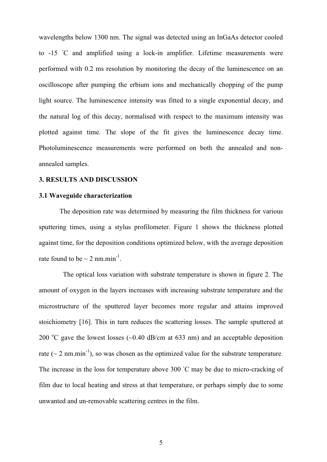wavelengths below 1300 nm. The signal was detected using an InGaAs detector cooled to -15 °C and amplified using a lock-in amplifier. Lifetime measurements were performed with 0.2 ms resolution by monitoring the decay of the luminescence on an oscilloscope after pumping the erbium ions and mechanically chopping of the pump light source. The luminescence intensity was fitted to a single exponential decay, and the natural log of this decay, normalised with respect to the maximum intensity was plotted against time. The slope of the fit gives the luminescence decay time. Photoluminescence measurements were performed on both the annealed and nonannealed samples.

## **3. RESULTS AND DISCUSSION**

#### **3.1 Waveguide characterization**

The deposition rate was determined by measuring the film thickness for various sputtering times, using a stylus profilometer. Figure 1 shows the thickness plotted against time, for the deposition conditions optimized below, with the average deposition rate found to be  $\sim$  2 nm.min<sup>-1</sup>.

 The optical loss variation with substrate temperature is shown in figure 2. The amount of oxygen in the layers increases with increasing substrate temperature and the microstructure of the sputtered layer becomes more regular and attains improved stoichiometry [16]. This in turn reduces the scattering losses. The sample sputtered at 200 °C gave the lowest losses  $(\sim 0.40$  dB/cm at 633 nm) and an acceptable deposition rate ( $\sim$  2 nm.min<sup>-1</sup>), so was chosen as the optimized value for the substrate temperature. The increase in the loss for temperature above  $300\degree C$  may be due to micro-cracking of film due to local heating and stress at that temperature, or perhaps simply due to some unwanted and un-removable scattering centres in the film.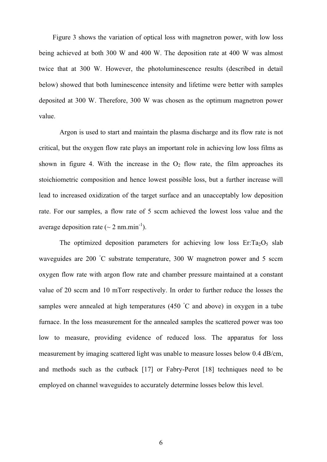Figure 3 shows the variation of optical loss with magnetron power, with low loss being achieved at both 300 W and 400 W. The deposition rate at 400 W was almost twice that at 300 W. However, the photoluminescence results (described in detail below) showed that both luminescence intensity and lifetime were better with samples deposited at 300 W. Therefore, 300 W was chosen as the optimum magnetron power value.

Argon is used to start and maintain the plasma discharge and its flow rate is not critical, but the oxygen flow rate plays an important role in achieving low loss films as shown in figure 4. With the increase in the  $O_2$  flow rate, the film approaches its stoichiometric composition and hence lowest possible loss, but a further increase will lead to increased oxidization of the target surface and an unacceptably low deposition rate. For our samples, a flow rate of 5 sccm achieved the lowest loss value and the average deposition rate ( $\sim$  2 nm.min<sup>-1</sup>).

The optimized deposition parameters for achieving low loss  $Er: Ta<sub>2</sub>O<sub>5</sub>$  slab waveguides are 200 °C substrate temperature, 300 W magnetron power and 5 sccm oxygen flow rate with argon flow rate and chamber pressure maintained at a constant value of 20 sccm and 10 mTorr respectively. In order to further reduce the losses the samples were annealed at high temperatures  $(450 \degree C$  and above) in oxygen in a tube furnace. In the loss measurement for the annealed samples the scattered power was too low to measure, providing evidence of reduced loss. The apparatus for loss measurement by imaging scattered light was unable to measure losses below 0.4 dB/cm, and methods such as the cutback [17] or Fabry-Perot [18] techniques need to be employed on channel waveguides to accurately determine losses below this level.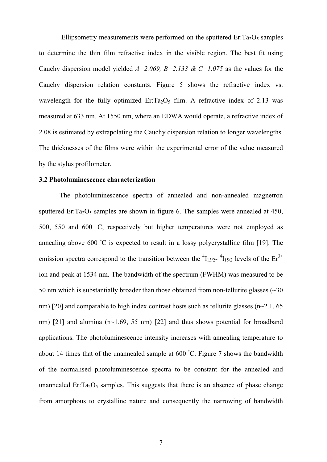Ellipsometry measurements were performed on the sputtered  $Er: Ta<sub>2</sub>O<sub>5</sub>$  samples to determine the thin film refractive index in the visible region. The best fit using Cauchy dispersion model yielded  $A=2.069$ ,  $B=2.133$  & C=1.075 as the values for the Cauchy dispersion relation constants. Figure 5 shows the refractive index vs. wavelength for the fully optimized Er:Ta<sub>2</sub>O<sub>5</sub> film. A refractive index of 2.13 was measured at 633 nm. At 1550 nm, where an EDWA would operate, a refractive index of 2.08 is estimated by extrapolating the Cauchy dispersion relation to longer wavelengths. The thicknesses of the films were within the experimental error of the value measured by the stylus profilometer.

## **3.2 Photoluminescence characterization**

The photoluminescence spectra of annealed and non-annealed magnetron sputtered Er: $Ta_2O_5$  samples are shown in figure 6. The samples were annealed at 450, 500, 550 and 600 °C, respectively but higher temperatures were not employed as annealing above  $600$  °C is expected to result in a lossy polycrystalline film [19]. The emission spectra correspond to the transition between the  ${}^{4}I_{13/2}$ -  ${}^{4}I_{15/2}$  levels of the  $Er^{3+}$ ion and peak at 1534 nm. The bandwidth of the spectrum (FWHM) was measured to be 50 nm which is substantially broader than those obtained from non-tellurite glasses  $(\sim]30$ nm) [20] and comparable to high index contrast hosts such as tellurite glasses ( $n\sim$ 2.1, 65 nm) [21] and alumina  $(n<sub>1.69</sub>, 55 nm)$  [22] and thus shows potential for broadband applications. The photoluminescence intensity increases with annealing temperature to about 14 times that of the unannealed sample at  $600\degree$ C. Figure 7 shows the bandwidth of the normalised photoluminescence spectra to be constant for the annealed and unannealed Er: $Ta_2O_5$  samples. This suggests that there is an absence of phase change from amorphous to crystalline nature and consequently the narrowing of bandwidth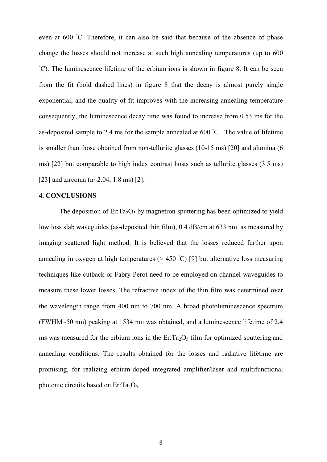even at 600 °C. Therefore, it can also be said that because of the absence of phase change the losses should not increase at such high annealing temperatures (up to 600 <sup>°</sup>C). The luminescence lifetime of the erbium ions is shown in figure 8. It can be seen from the fit (bold dashed lines) in figure 8 that the decay is almost purely single exponential, and the quality of fit improves with the increasing annealing temperature consequently, the luminescence decay time was found to increase from 0.53 ms for the as-deposited sample to 2.4 ms for the sample annealed at 600 °C. The value of lifetime is smaller than those obtained from non-tellurite glasses (10-15 ms) [20] and alumina (6 ms) [22] but comparable to high index contrast hosts such as tellurite glasses (3.5 ms) [23] and zirconia (n~2.04, 1.8 ms) [2].

## **4. CONCLUSIONS**

The deposition of  $Er: Ta<sub>2</sub>O<sub>5</sub>$  by magnetron sputtering has been optimized to yield low loss slab waveguides (as-deposited thin film), 0.4 dB/cm at 633 nm as measured by imaging scattered light method. It is believed that the losses reduced further upon annealing in oxygen at high temperatures  $(> 450 °C)$  [9] but alternative loss measuring techniques like cutback or Fabry-Perot need to be employed on channel waveguides to measure these lower losses. The refractive index of the thin film was determined over the wavelength range from 400 nm to 700 nm. A broad photoluminescence spectrum (FWHM~50 nm) peaking at 1534 nm was obtained, and a luminescence lifetime of 2.4 ms was measured for the erbium ions in the  $Er:Ta_2O_5$  film for optimized sputtering and annealing conditions. The results obtained for the losses and radiative lifetime are promising, for realizing erbium-doped integrated amplifier/laser and multifunctional photonic circuits based on Er:  $Ta_2O_5$ .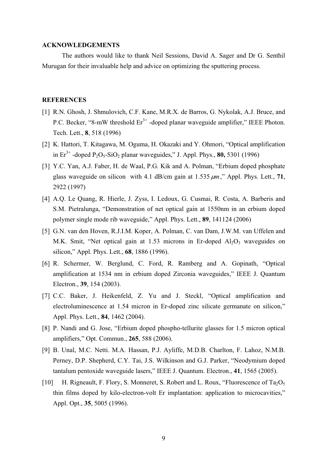## **ACKNOWLEDGEMENTS**

The authors would like to thank Neil Sessions, David A. Sager and Dr G. Senthil Murugan for their invaluable help and advice on optimizing the sputtering process.

## **REFERENCES**

- [1] R.N. Ghosh, J. Shmulovich, C.F. Kane, M.R.X. de Barros, G. Nykolak, A.J. Bruce, and P.C. Becker, "8-mW threshold  $Er^{3+}$ -doped planar waveguide amplifier," IEEE Photon. Tech. Lett., **8**, 518 (1996)
- [2] K. Hattori, T. Kitagawa, M. Oguma, H. Okazaki and Y. Ohmori, "Optical amplification in  $Er^{3+}$ -doped  $P_2O_5-SiO_2$  planar waveguides," J. Appl. Phys., **80,** 5301 (1996)
- [3] Y.C. Yan, A.J. Faber, H. de Waal, P.G. Kik and A. Polman, "Erbium doped phosphate glass waveguide on silicon with 4.1 dB/cm gain at  $1.535 \mu m$ ," Appl. Phys. Lett., 71, 2922 (1997)
- [4] A.Q. Le Quang, R. Hierle, J. Zyss, I. Ledoux, G. Cusmai, R. Costa, A. Barberis and S.M. Pietralunga, "Demonstration of net optical gain at 1550nm in an erbium doped polymer single mode rib waveguide," Appl. Phys. Lett., **89**, 141124 (2006)
- [5] G.N. van den Hoven, R.J.I.M. Koper, A. Polman, C. van Dam, J.W.M. van Uffelen and M.K. Smit, "Net optical gain at 1.53 microns in Er-doped  $Al_2O_3$  waveguides on silicon," Appl. Phys. Lett., **68**, 1886 (1996).
- [6] R. Schermer, W. Berglund, C. Ford, R. Ramberg and A. Gopinath, "Optical amplification at 1534 nm in erbium doped Zirconia waveguides," IEEE J. Quantum Electron., **39**, 154 (2003).
- [7] C.C. Baker, J. Heikenfeld, Z. Yu and J. Steckl, "Optical amplification and electroluminescence at 1.54 micron in Er-doped zinc silicate germanate on silicon," Appl. Phys. Lett., **84**, 1462 (2004).
- [8] P. Nandi and G. Jose, "Erbium doped phospho-tellurite glasses for 1.5 micron optical amplifiers," Opt. Commun., **265**, 588 (2006).
- [9] B. Unal, M.C. Netti. M.A. Hassan, P.J. Ayliffe, M.D.B. Charlton, F. Lahoz, N.M.B. Perney, D.P. Shepherd, C.Y. Tai, J.S. Wilkinson and G.J. Parker, "Neodymium doped tantalum pentoxide waveguide lasers," IEEE J. Quantum. Electron., **41**, 1565 (2005).
- [10] H. Rigneault, F. Flory, S. Monneret, S. Robert and L. Roux, "Fluorescence of Ta<sub>2</sub>O<sub>5</sub> thin films doped by kilo-electron-volt Er implantation: application to microcavities," Appl. Opt., **35**, 5005 (1996).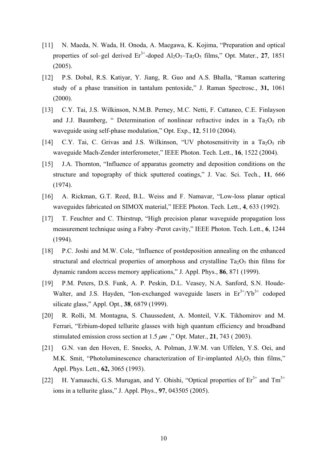- [11] N. Maeda, N. Wada, H. Onoda, A. Maegawa, K. Kojima, "Preparation and optical properties of sol–gel derived  $Er^{3+}$ -doped  $Al_2O_3$ -Ta<sub>2</sub>O<sub>5</sub> films," Opt. Mater., 27, 1851 (2005).
- [12] P.S. Dobal, R.S. Katiyar, Y. Jiang, R. Guo and A.S. Bhalla, "Raman scattering study of a phase transition in tantalum pentoxide," J. Raman Spectrosc., **31,** 1061 (2000).
- [13] C.Y. Tai, J.S. Wilkinson, N.M.B. Perney, M.C. Netti, F. Cattaneo, C.E. Finlayson and J.J. Baumberg, " Determination of nonlinear refractive index in a  $Ta_2O_5$  rib waveguide using self-phase modulation," Opt. Exp., **12**, 5110 (2004).
- [14] C.Y. Tai, C. Grivas and J.S. Wilkinson, "UV photosensitivity in a Ta<sub>2</sub>O<sub>5</sub> rib waveguide Mach-Zender interferometer," IEEE Photon. Tech. Lett., **16**, 1522 (2004).
- [15] J.A. Thornton, "Influence of apparatus geometry and deposition conditions on the structure and topography of thick sputtered coatings," J. Vac. Sci. Tech., **11**, 666 (1974).
- [16] A. Rickman, G.T. Reed, B.L. Weiss and F. Namavar, "Low-loss planar optical waveguides fabricated on SIMOX material," IEEE Photon. Tech. Lett., **4**, 633 (1992).
- [17] T. Feuchter and C. Thirstrup, "High precision planar waveguide propagation loss measurement technique using a Fabry -Perot cavity," IEEE Photon. Tech. Lett., **6**, 1244 (1994).
- [18] P.C. Joshi and M.W. Cole, "Influence of postdeposition annealing on the enhanced structural and electrical properties of amorphous and crystalline  $Ta_2O_5$  thin films for dynamic random access memory applications," J. Appl. Phys., **86**, 871 (1999).
- [19] P.M. Peters, D.S. Funk, A. P. Peskin, D.L. Veasey, N.A. Sanford, S.N. Houde-Walter, and J.S. Hayden, "Ion-exchanged waveguide lasers in  $Er^{3+}/Yb^{3+}$  codoped silicate glass," Appl. Opt., **38**, 6879 (1999).
- [20] R. Rolli, M. Montagna, S. Chaussedent, A. Monteil, V.K. Tikhomirov and M. Ferrari, "Erbium-doped tellurite glasses with high quantum efficiency and broadband stimulated emission cross section at  $1.5 \mu m$ , "Opt. Mater.,  $21$ , 743 (2003).
- [21] G.N. van den Hoven, E. Snoeks, A. Polman, J.W.M. van Uffelen, Y.S. Oei, and M.K. Smit, "Photoluminescence characterization of Er-implanted  $Al_2O_3$  thin films," Appl. Phys. Lett., **62,** 3065 (1993).
- [22] H. Yamauchi, G.S. Murugan, and Y. Ohishi, "Optical properties of  $Er<sup>3+</sup>$  and  $Tm<sup>3+</sup>$ ions in a tellurite glass," J. Appl. Phys., **97**, 043505 (2005).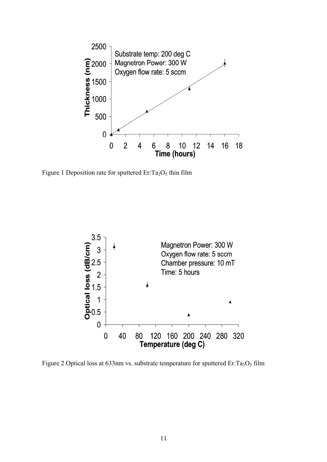

Figure 1 Deposition rate for sputtered  $Er: Ta<sub>2</sub>O<sub>5</sub>$  thin film



Figure 2 Optical loss at 633nm vs. substrate temperature for sputtered Er: $Ta_2O_5$  film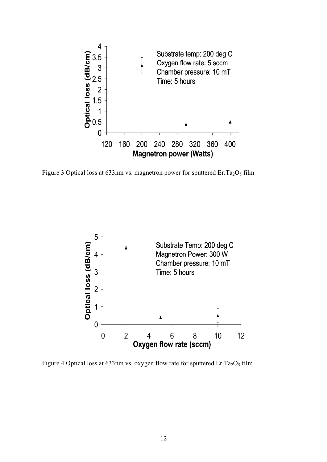

Figure 3 Optical loss at 633nm vs. magnetron power for sputtered  $Er: Ta<sub>2</sub>O<sub>5</sub> film$ 



Figure 4 Optical loss at 633nm vs. oxygen flow rate for sputtered Er: $Ta_2O_5$  film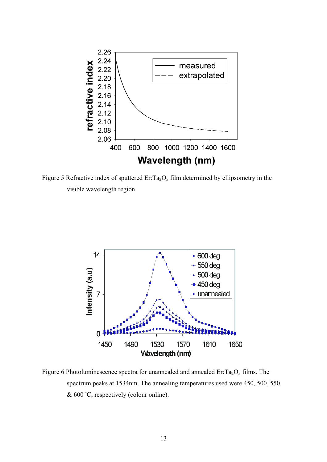

Figure 5 Refractive index of sputtered  $Er:Ta<sub>2</sub>O<sub>5</sub>$  film determined by ellipsometry in the visible wavelength region



Figure 6 Photoluminescence spectra for unannealed and annealed  $Er: Ta<sub>2</sub>O<sub>5</sub>$  films. The spectrum peaks at 1534nm. The annealing temperatures used were 450, 500, 550  $& 600 °C$ , respectively (colour online).